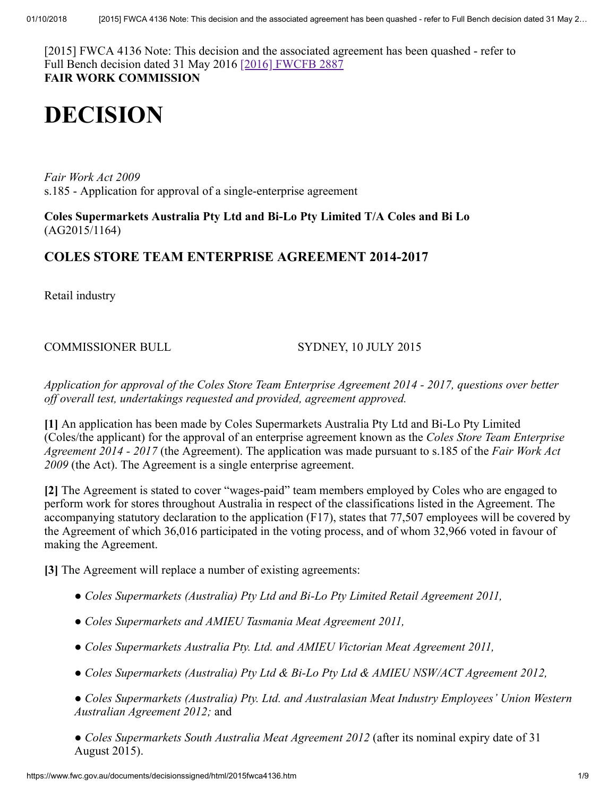[2015] FWCA 4136 Note: This decision and the associated agreement has been quashed - refer to Full Bench decision dated 31 May 2016 [\[2016\] FWCFB 2887](http://www.fwc.gov.au/decisionssigned/html/2016FWCFB2887.htm) **FAIR WORK COMMISSION**

# **DECISION**

*Fair Work Act 2009*  s.185 - Application for approval of a single-enterprise agreement

**Coles Supermarkets Australia Pty Ltd and Bi-Lo Pty Limited T/A Coles and Bi Lo** (AG2015/1164)

# **COLES STORE TEAM ENTERPRISE AGREEMENT 2014-2017**

Retail industry

COMMISSIONER BULL SYDNEY, 10 JULY 2015

*Application for approval of the Coles Store Team Enterprise Agreement 2014 - 2017, questions over better off overall test, undertakings requested and provided, agreement approved.*

**[1]** An application has been made by Coles Supermarkets Australia Pty Ltd and Bi-Lo Pty Limited (Coles/the applicant) for the approval of an enterprise agreement known as the *Coles Store Team Enterprise Agreement 2014 - 2017* (the Agreement). The application was made pursuant to s.185 of the *Fair Work Act 2009* (the Act). The Agreement is a single enterprise agreement.

**[2]** The Agreement is stated to cover "wages-paid" team members employed by Coles who are engaged to perform work for stores throughout Australia in respect of the classifications listed in the Agreement. The accompanying statutory declaration to the application (F17), states that 77,507 employees will be covered by the Agreement of which 36,016 participated in the voting process, and of whom 32,966 voted in favour of making the Agreement.

**[3]** The Agreement will replace a number of existing agreements:

- *Coles Supermarkets (Australia) Pty Ltd and Bi-Lo Pty Limited Retail Agreement 2011,*
- *Coles Supermarkets and AMIEU Tasmania Meat Agreement 2011,*
- *Coles Supermarkets Australia Pty. Ltd. and AMIEU Victorian Meat Agreement 2011,*
- *Coles Supermarkets (Australia) Pty Ltd & Bi-Lo Pty Ltd & AMIEU NSW/ACT Agreement 2012,*

*● Coles Supermarkets (Australia) Pty. Ltd. and Australasian Meat Industry Employees' Union Western Australian Agreement 2012;* and

*● Coles Supermarkets South Australia Meat Agreement 2012* (after its nominal expiry date of 31 August 2015).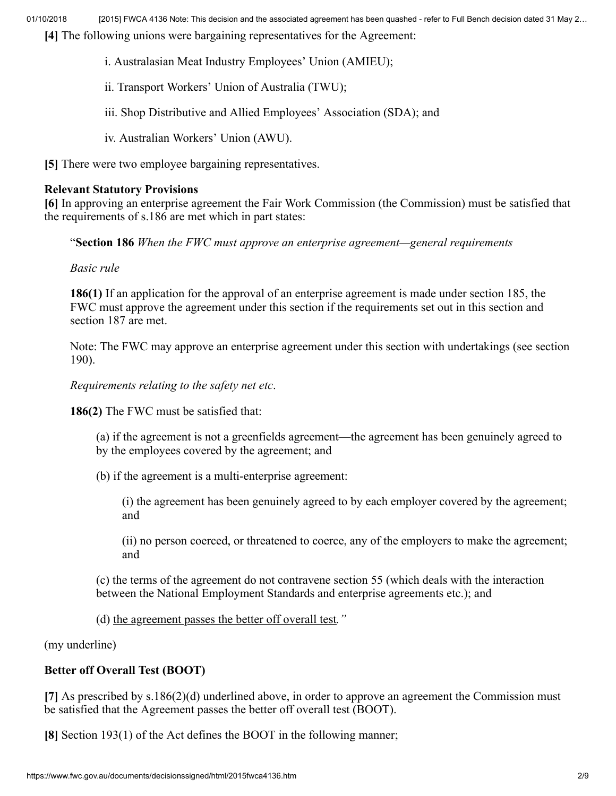**[4]** The following unions were bargaining representatives for the Agreement:

- i. Australasian Meat Industry Employees' Union (AMIEU);
- ii. Transport Workers' Union of Australia (TWU);
- iii. Shop Distributive and Allied Employees' Association (SDA); and
- iv. Australian Workers' Union (AWU).

**[5]** There were two employee bargaining representatives.

## **Relevant Statutory Provisions**

**[6]** In approving an enterprise agreement the Fair Work Commission (the Commission) must be satisfied that the requirements of s.186 are met which in part states:

"**Section 186** *When the FWC must approve an enterprise agreement—general requirements*

*Basic rule*

**186(1)** If an application for the approval of an enterprise agreement is made under section 185, the FWC must approve the agreement under this section if the requirements set out in this section and section 187 are met.

Note: The FWC may approve an enterprise agreement under this section with undertakings (see section 190).

*Requirements relating to the safety net etc*.

**186(2)** The FWC must be satisfied that:

- (a) if the agreement is not a greenfields agreement—the agreement has been genuinely agreed to by the employees covered by the agreement; and
- (b) if the agreement is a multi-enterprise agreement:
	- (i) the agreement has been genuinely agreed to by each employer covered by the agreement; and

(ii) no person coerced, or threatened to coerce, any of the employers to make the agreement; and

(c) the terms of the agreement do not contravene section 55 (which deals with the interaction between the National Employment Standards and enterprise agreements etc.); and

(d) the agreement passes the better off overall test*."*

(my underline)

# **Better off Overall Test (BOOT)**

**[7]** As prescribed by s.186(2)(d) underlined above, in order to approve an agreement the Commission must be satisfied that the Agreement passes the better off overall test (BOOT).

**[8]** Section 193(1) of the Act defines the BOOT in the following manner;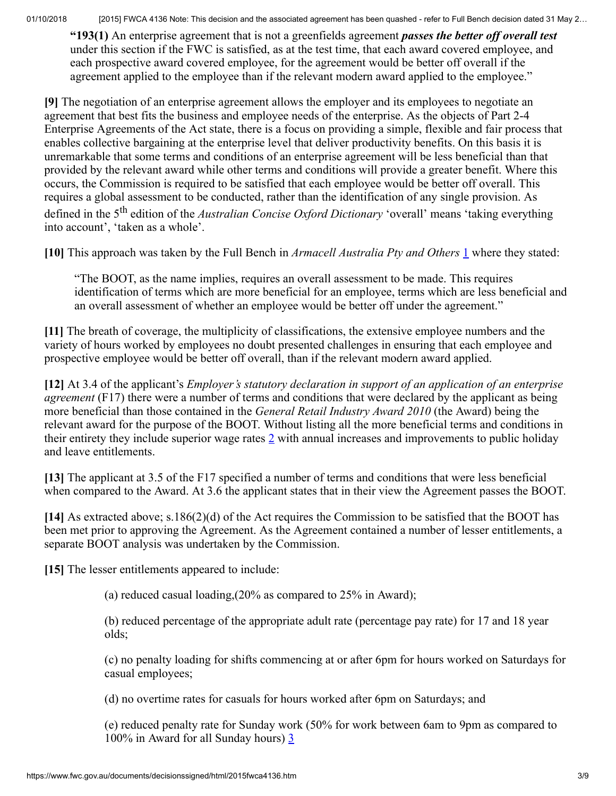**"193(1)** An enterprise agreement that is not a greenfields agreement *passes the better off overall test* under this section if the FWC is satisfied, as at the test time, that each award covered employee, and each prospective award covered employee, for the agreement would be better off overall if the agreement applied to the employee than if the relevant modern award applied to the employee."

**[9]** The negotiation of an enterprise agreement allows the employer and its employees to negotiate an agreement that best fits the business and employee needs of the enterprise. As the objects of Part 2-4 Enterprise Agreements of the Act state, there is a focus on providing a simple, flexible and fair process that enables collective bargaining at the enterprise level that deliver productivity benefits. On this basis it is unremarkable that some terms and conditions of an enterprise agreement will be less beneficial than that provided by the relevant award while other terms and conditions will provide a greater benefit. Where this occurs, the Commission is required to be satisfied that each employee would be better off overall. This requires a global assessment to be conducted, rather than the identification of any single provision. As defined in the 5<sup>th</sup> edition of the *Australian Concise Oxford Dictionary* 'overall' means 'taking everything into account', 'taken as a whole'.

**[10]** This approach was taken by the Full Bench in *Armacell Australia Pty and Others* [1](#page-7-0) where they stated:

<span id="page-2-0"></span>"The BOOT, as the name implies, requires an overall assessment to be made. This requires identification of terms which are more beneficial for an employee, terms which are less beneficial and an overall assessment of whether an employee would be better off under the agreement."

**[11]** The breath of coverage, the multiplicity of classifications, the extensive employee numbers and the variety of hours worked by employees no doubt presented challenges in ensuring that each employee and prospective employee would be better off overall, than if the relevant modern award applied.

**[12]** At 3.4 of the applicant's *Employer's statutory declaration in support of an application of an enterprise agreement* (F17) there were a number of terms and conditions that were declared by the applicant as being more beneficial than those contained in the *General Retail Industry Award 2010* (the Award) being the relevant award for the purpose of the BOOT. Without listing all the more beneficial terms and conditions in their entirety they include superior wage rates [2](#page-7-1) with annual increases and improvements to public holiday and leave entitlements.

**[13]** The applicant at 3.5 of the F17 specified a number of terms and conditions that were less beneficial when compared to the Award. At 3.6 the applicant states that in their view the Agreement passes the BOOT.

**[14]** As extracted above; s.186(2)(d) of the Act requires the Commission to be satisfied that the BOOT has been met prior to approving the Agreement. As the Agreement contained a number of lesser entitlements, a separate BOOT analysis was undertaken by the Commission.

**[15]** The lesser entitlements appeared to include:

<span id="page-2-1"></span>(a) reduced casual loading,(20% as compared to 25% in Award);

(b) reduced percentage of the appropriate adult rate (percentage pay rate) for 17 and 18 year olds;

(c) no penalty loading for shifts commencing at or after 6pm for hours worked on Saturdays for casual employees;

(d) no overtime rates for casuals for hours worked after 6pm on Saturdays; and

<span id="page-2-2"></span>(e) reduced penalty rate for Sunday work (50% for work between 6am to 9pm as compared to 100% in Award for all Sunday hours) [3](#page-7-2)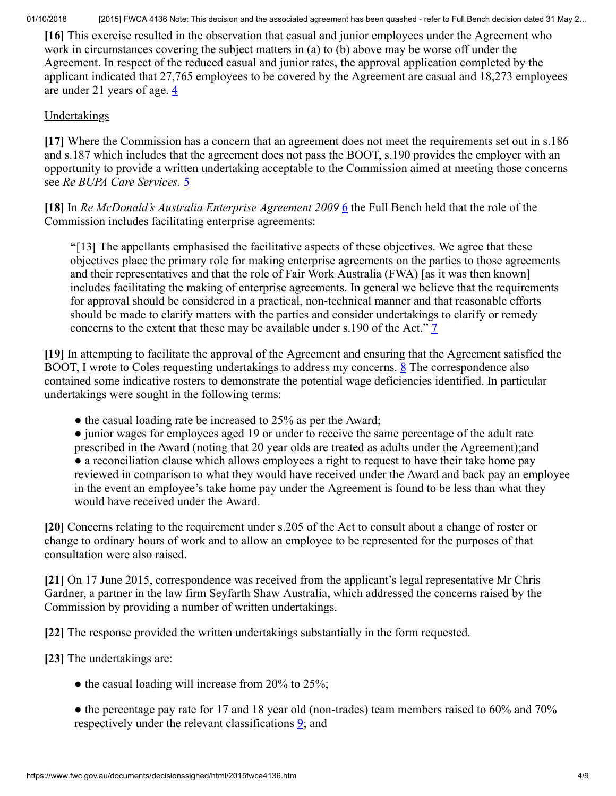**[16]** This exercise resulted in the observation that casual and junior employees under the Agreement who work in circumstances covering the subject matters in (a) to (b) above may be worse off under the Agreement. In respect of the reduced casual and junior rates, the approval application completed by the applicant indicated that 27,765 employees to be covered by the Agreement are casual and 18,273 employees are under 21 years of age.  $\frac{4}{3}$  $\frac{4}{3}$  $\frac{4}{3}$ 

# <span id="page-3-0"></span>**Undertakings**

**[17]** Where the Commission has a concern that an agreement does not meet the requirements set out in s.186 and s.187 which includes that the agreement does not pass the BOOT, s.190 provides the employer with an opportunity to provide a written undertaking acceptable to the Commission aimed at meeting those concerns see *Re BUPA Care Services.* [5](#page-8-0)

[18] In *Re McDonald's Australia Enterprise Agreement 2009* [6](#page-8-1) the Full Bench held that the role of the Commission includes facilitating enterprise agreements:

<span id="page-3-2"></span><span id="page-3-1"></span>**"**[13**]** The appellants emphasised the facilitative aspects of these objectives. We agree that these objectives place the primary role for making enterprise agreements on the parties to those agreements and their representatives and that the role of Fair Work Australia (FWA) [as it was then known] includes facilitating the making of enterprise agreements. In general we believe that the requirements for approval should be considered in a practical, non-technical manner and that reasonable efforts should be made to clarify matters with the parties and consider undertakings to clarify or remedy concerns to the extent that these may be available under s.190 of the Act." [7](#page-8-2)

**[19]** In attempting to facilitate the approval of the Agreement and ensuring that the Agreement satisfied the BOOT, I wrote to Coles requesting undertakings to address my concerns. [8](#page-8-3) The correspondence also contained some indicative rosters to demonstrate the potential wage deficiencies identified. In particular undertakings were sought in the following terms:

<span id="page-3-4"></span><span id="page-3-3"></span>• the casual loading rate be increased to 25% as per the Award;

● junior wages for employees aged 19 or under to receive the same percentage of the adult rate prescribed in the Award (noting that 20 year olds are treated as adults under the Agreement);and • a reconciliation clause which allows employees a right to request to have their take home pay reviewed in comparison to what they would have received under the Award and back pay an employee in the event an employee's take home pay under the Agreement is found to be less than what they would have received under the Award.

**[20]** Concerns relating to the requirement under s.205 of the Act to consult about a change of roster or change to ordinary hours of work and to allow an employee to be represented for the purposes of that consultation were also raised.

**[21]** On 17 June 2015, correspondence was received from the applicant's legal representative Mr Chris Gardner, a partner in the law firm Seyfarth Shaw Australia, which addressed the concerns raised by the Commission by providing a number of written undertakings.

**[22]** The response provided the written undertakings substantially in the form requested.

**[23]** The undertakings are:

 $\bullet$  the casual loading will increase from 20% to 25%;

<span id="page-3-5"></span>• the percentage pay rate for 17 and 18 year old (non-trades) team members raised to 60% and 70% respectively under the relevant classifications  $\mathbf{\underline{9}}$ ; and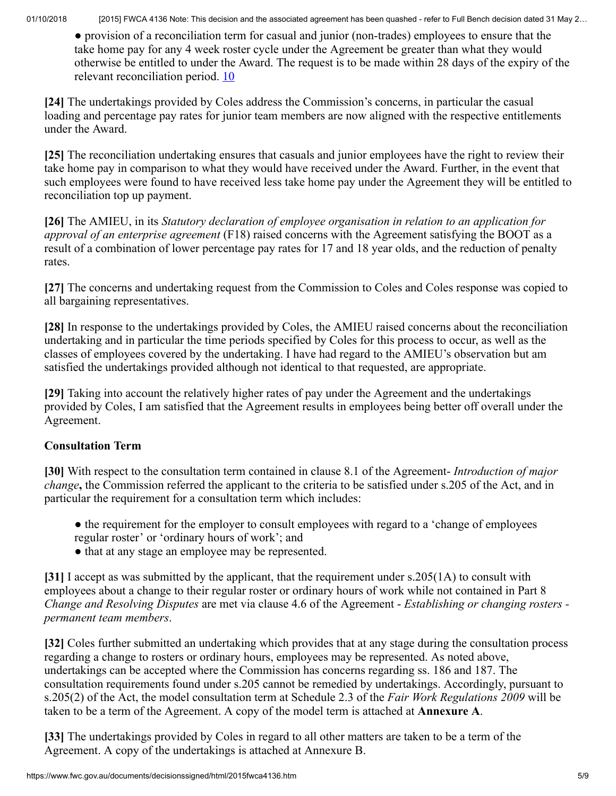<span id="page-4-0"></span>● provision of a reconciliation term for casual and junior (non-trades) employees to ensure that the take home pay for any 4 week roster cycle under the Agreement be greater than what they would otherwise be entitled to under the Award. The request is to be made within 28 days of the expiry of the relevant reconciliation period. [10](#page-8-5)

**[24]** The undertakings provided by Coles address the Commission's concerns, in particular the casual loading and percentage pay rates for junior team members are now aligned with the respective entitlements under the Award.

**[25]** The reconciliation undertaking ensures that casuals and junior employees have the right to review their take home pay in comparison to what they would have received under the Award. Further, in the event that such employees were found to have received less take home pay under the Agreement they will be entitled to reconciliation top up payment.

**[26]** The AMIEU, in its *Statutory declaration of employee organisation in relation to an application for approval of an enterprise agreement* (F18) raised concerns with the Agreement satisfying the BOOT as a result of a combination of lower percentage pay rates for 17 and 18 year olds, and the reduction of penalty rates.

**[27]** The concerns and undertaking request from the Commission to Coles and Coles response was copied to all bargaining representatives.

**[28]** In response to the undertakings provided by Coles, the AMIEU raised concerns about the reconciliation undertaking and in particular the time periods specified by Coles for this process to occur, as well as the classes of employees covered by the undertaking. I have had regard to the AMIEU's observation but am satisfied the undertakings provided although not identical to that requested, are appropriate.

**[29]** Taking into account the relatively higher rates of pay under the Agreement and the undertakings provided by Coles, I am satisfied that the Agreement results in employees being better off overall under the Agreement.

# **Consultation Term**

**[30]** With respect to the consultation term contained in clause 8.1 of the Agreement- *Introduction of major change***,** the Commission referred the applicant to the criteria to be satisfied under s.205 of the Act, and in particular the requirement for a consultation term which includes:

- the requirement for the employer to consult employees with regard to a 'change of employees regular roster' or 'ordinary hours of work'; and
- that at any stage an employee may be represented.

**[31]** I accept as was submitted by the applicant, that the requirement under s.205(1A) to consult with employees about a change to their regular roster or ordinary hours of work while not contained in Part 8 *Change and Resolving Disputes* are met via clause 4.6 of the Agreement - *Establishing or changing rosters permanent team members*.

**[32]** Coles further submitted an undertaking which provides that at any stage during the consultation process regarding a change to rosters or ordinary hours, employees may be represented. As noted above, undertakings can be accepted where the Commission has concerns regarding ss. 186 and 187. The consultation requirements found under s.205 cannot be remedied by undertakings. Accordingly, pursuant to s.205(2) of the Act, the model consultation term at Schedule 2.3 of the *Fair Work Regulations 2009* will be taken to be a term of the Agreement. A copy of the model term is attached at **Annexure A**.

**[33]** The undertakings provided by Coles in regard to all other matters are taken to be a term of the Agreement. A copy of the undertakings is attached at Annexure B.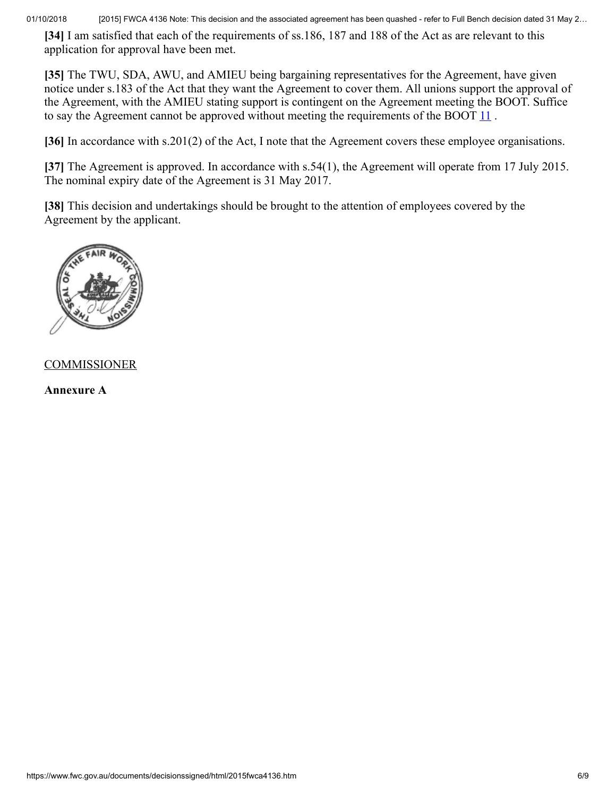**[34]** I am satisfied that each of the requirements of ss.186, 187 and 188 of the Act as are relevant to this application for approval have been met.

**[35]** The TWU, SDA, AWU, and AMIEU being bargaining representatives for the Agreement, have given notice under s.183 of the Act that they want the Agreement to cover them. All unions support the approval of the Agreement, with the AMIEU stating support is contingent on the Agreement meeting the BOOT. Suffice to say the Agreement cannot be approved without meeting the requirements of the BOOT  $11$ .

<span id="page-5-0"></span>**[36]** In accordance with s.201(2) of the Act, I note that the Agreement covers these employee organisations.

**[37]** The Agreement is approved. In accordance with s.54(1), the Agreement will operate from 17 July 2015. The nominal expiry date of the Agreement is 31 May 2017.

**[38]** This decision and undertakings should be brought to the attention of employees covered by the Agreement by the applicant.



# **COMMISSIONER**

**Annexure A**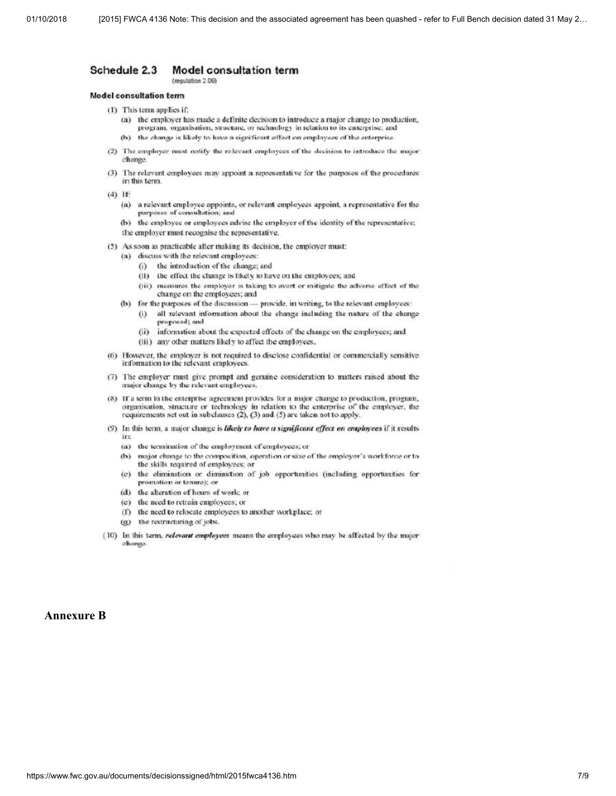#### Schedule 2.3 Model consultation term (regulation 2.09)

### **Model consultation term**

- (1) This term applies if:
	- (a) the employer has made a definite decision to introduce a major change to production. program, organisation, structure, or technology in relation to its enterprise, and
	- (b) the change is likely to have a significant effect on employees of the enterprise.
- (2) The employer must notify the relevant employees of the decision to introduce the major chanoe
- (3) The relevant employees may appoint a representative for the purposes of the procedures in this term.
- $(4)$  If:
	- (a) a relevant employee appoints, or relevant employees appoint, a representative for the purposes of consultation; and
	- (b) the employee or employees advise the employer of the identity of the representative; the employer must recognise the representative.
- (5) As soon as practicable after making its decision, the employer must:
	- (a) discuss with the relevant employees:
		- (i) the introduction of the change; and
		- (ii) the effect the change is likely to have on the employees; and
		- (iii) measures the employer is taking to avert or mitigate the adverse effect of the change on the employees; and
	- (b) for the purposes of the discussion provide, in writing, to the relevant employees:
		- (i) all relevant information about the change including the nature of the change proposed; and
		- (ii) information about the expected effects of the change on the employees; and
		- (iii) any other matters likely to affect the employees.
- (6) However, the employer is not required to disclose confidential or commercially sensitive information to the relevant employees.
- (7) The employer must give prompt and genuine consideration to matters raised about the major change by the relevant employees.
- (8) If a term in the enterprise agreement provides for a major change to production, program, organisation, structure or technology in relation to the enterprise of the employer, the requirements set out in subclauses  $(2)$ ,  $(3)$  and  $(5)$  are taken not to apply.
- (9) In this term, a major change is likely to have a significant effect on employees if it results in:
	- (a) the termination of the employment of employees; or
	- major change to the composition, operation or size of the employer's workforce or to  $(b)$ the skills required of employees; or
	- (c) the elimination or diminution of job opportunities (including opportunities for promotion or tenure); or
	- (d) the alteration of hours of work; or
	- (e) the need to retrain employees; or
	- (f) the need to relocate employees to another workplace; or
	- (g) the restructuring of jobs.
- (10) In this term, relevant employees means the employees who may be affected by the major change

### **Annexure B**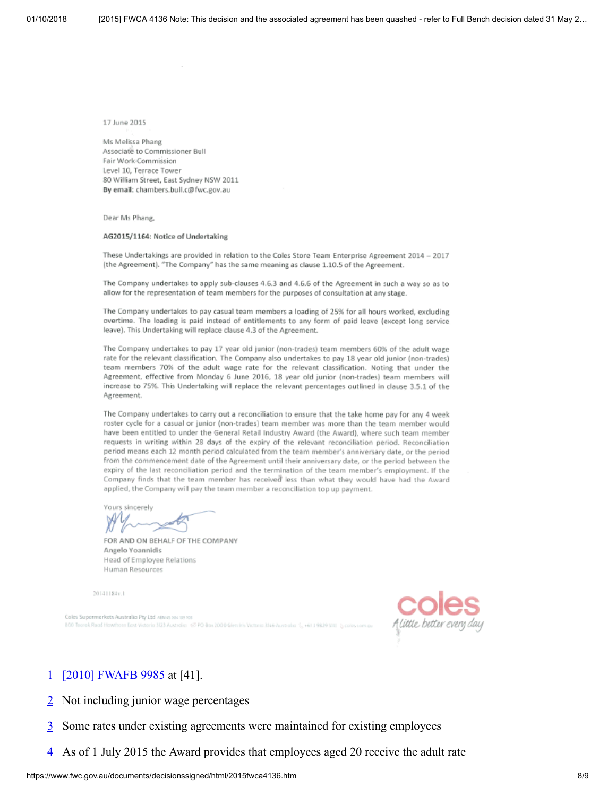17 June 2015

Ms Melissa Phang Associate to Commissioner Bull Fair Work Commission Level 10, Terrace Tower 80 William Street, East Sydney NSW 2011 By email: chambers.bull.c@fwc.gov.au

Dear Ms Phang,

#### AG2015/1164: Notice of Undertaking

These Undertakings are provided in relation to the Coles Store Team Enterprise Agreement 2014 - 2017 (the Agreement). "The Company" has the same meaning as clause 1.10.5 of the Agreement.

The Company undertakes to apply sub-clauses 4.6.3 and 4.6.6 of the Agreement in such a way so as to allow for the representation of team members for the purposes of consultation at any stage.

The Company undertakes to pay casual team members a loading of 25% for all hours worked, excluding overtime. The loading is paid instead of entitlements to any form of paid leave (except long service leave). This Undertaking will replace clause 4.3 of the Agreement.

The Company undertakes to pay 17 year old junior (non-trades) team members 60% of the adult wage rate for the relevant classification. The Company also undertakes to pay 18 year old junior (non-trades) team members 70% of the adult wage rate for the relevant classification. Noting that under the Agreement, effective from Monday 6 June 2016, 18 year old junior (non-trades) team members will increase to 75%. This Undertaking will replace the relevant percentages outlined in clause 3.5.1 of the Agreement.

The Company undertakes to carry out a reconciliation to ensure that the take home pay for any 4 week roster cycle for a casual or junior (non-trades) team member was more than the team member would have been entitled to under the General Retail Industry Award (the Award), where such team member requests in writing within 28 days of the expiry of the relevant reconciliation period. Reconciliation period means each 12 month period calculated from the team member's anniversary date, or the period from the commencement date of the Agreement until their anniversary date, or the period between the expiry of the last reconciliation period and the termination of the team member's employment. If the Company finds that the team member has received less than what they would have had the Award applied, the Company will pay the team member a reconciliation top up payment.

Yours sincereh

FOR AND ON BEHALF OF THE COMPANY Angelo Yoannidis Head of Employee Relations Human Resources

20141184v.1

Coles Supermorkets Australia Pty Ltd Airea to a wind 800 Tassek Road Hewtham Eest Victoria 323 Australia <2 PO Box 2000 Glendris Victoria 3146 Australia



# <span id="page-7-0"></span>[1](#page-2-0) [\[2010\] FWAFB 9985](http://www.fwc.gov.au/decisionssigned/html/2010fwafb9985.htm) at [41].

- <span id="page-7-1"></span> $\frac{2}{2}$  $\frac{2}{2}$  $\frac{2}{2}$  Not including junior wage percentages
- <span id="page-7-2"></span>[3](#page-2-2) Some rates under existing agreements were maintained for existing employees
- <span id="page-7-3"></span>[4](#page-3-0) As of 1 July 2015 the Award provides that employees aged 20 receive the adult rate